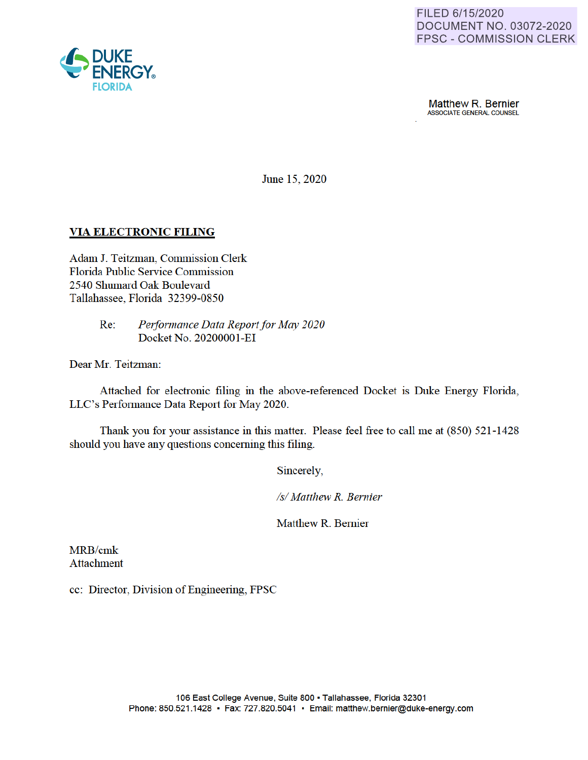

**Matthew R. Bernier**<br>ASSOCIATE GENERAL COUNSEL

June 15, 2020

## **VIA ELECTRONIC FILING**

Adam J. Teitzman, Commission Clerk Florida Public Service Commission 2540 Shumard Oak Boulevard Tallahassee, Florida 32399-0850

> Re: *Performance Data Report for May 2020*  Docket No. 20200001-EI

Dear Mr. Teitzman:

Attached for electronic filing in the above-referenced Docket is Duke Energy Florida, LLC's Performance Data Report for May 2020.

Thank you for your assistance in this matter. Please feel free to call me at (850) 521-1428 should you have any questions concerning this filing.

Sincerely

*Isl Matthew R. Bernier* 

Matthew R. Bernier

MRB/cmk Attachment

cc: Director, Division of Engineering, FPSC

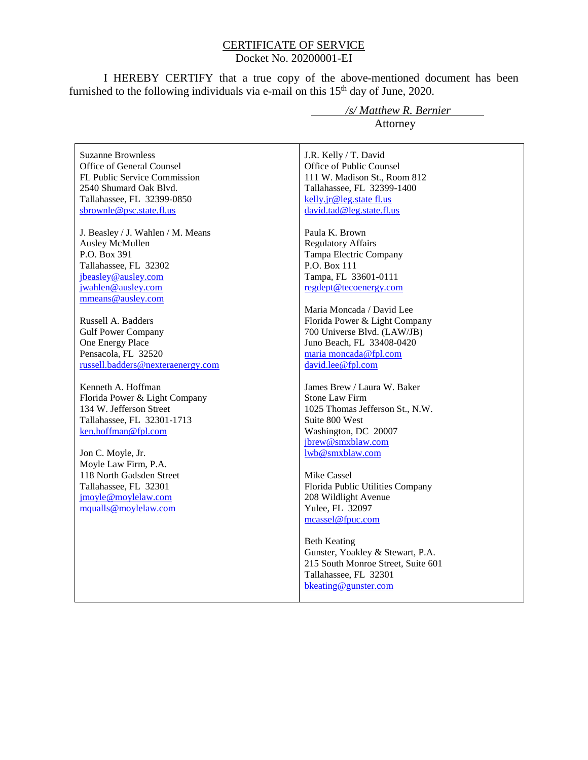#### CERTIFICATE OF SERVICE Docket No. 20200001-EI

I HEREBY CERTIFY that a true copy of the above-mentioned document has been furnished to the following individuals via e-mail on this  $15<sup>th</sup>$  day of June, 2020.

Suzanne Brownless Office of General Counsel FL Public Service Commission 2540 Shumard Oak Blvd. Tallahassee, FL 32399-0850 sbrownle@psc.state.fl.us

J. Beasley / J. Wahlen / M. Means Ausley McMullen P.O. Box 391 Tallahassee, FL 32302 jbeasley@ausley.com jwahlen@ausley.com mmeans@ausley.com

Russell A. Badders Gulf Power Company One Energy Place Pensacola, FL 32520 russell.badders@nexteraenergy.com

Kenneth A. Hoffman Florida Power & Light Company 134 W. Jefferson Street Tallahassee, FL 32301-1713 ken.hoffman@fpl.com

Jon C. Moyle, Jr. Moyle Law Firm, P.A. 118 North Gadsden Street Tallahassee, FL 32301 jmoyle@moylelaw.com mqualls@moylelaw.com

 */s/ Matthew R. Bernier* Attorney

J.R. Kelly / T. David Office of Public Counsel 111 W. Madison St., Room 812 Tallahassee, FL 32399-1400 kelly.jr@leg.state fl.us david.tad@leg.state.fl.us

Paula K. Brown Regulatory Affairs Tampa Electric Company P.O. Box 111 Tampa, FL 33601-0111 regdept@tecoenergy.com

Maria Moncada / David Lee Florida Power & Light Company 700 Universe Blvd. (LAW/JB) Juno Beach, FL 33408-0420 maria moncada@fpl.com david.lee@fpl.com

James Brew / Laura W. Baker Stone Law Firm 1025 Thomas Jefferson St., N.W. Suite 800 West Washington, DC 20007 jbrew@smxblaw.com lwb@smxblaw.com

Mike Cassel Florida Public Utilities Company 208 Wildlight Avenue Yulee, FL 32097 mcassel@fpuc.com

Beth Keating Gunster, Yoakley & Stewart, P.A. 215 South Monroe Street, Suite 601 Tallahassee, FL 32301 bkeating@gunster.com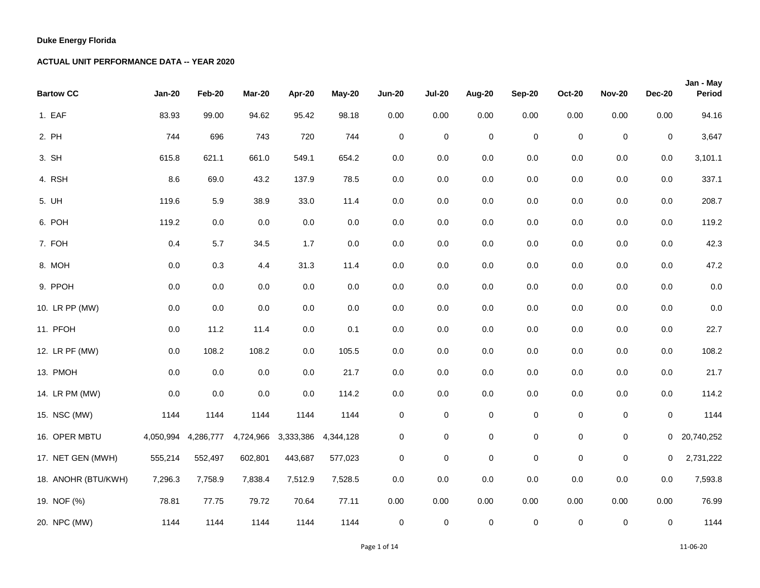| <b>Bartow CC</b>    | <b>Jan-20</b> | Feb-20    | Mar-20    | Apr-20    | <b>May-20</b> | <b>Jun-20</b> | <b>Jul-20</b> | Aug-20      | <b>Sep-20</b>       | <b>Oct-20</b> | <b>Nov-20</b> | <b>Dec-20</b>  | Jan - May<br>Period |
|---------------------|---------------|-----------|-----------|-----------|---------------|---------------|---------------|-------------|---------------------|---------------|---------------|----------------|---------------------|
| 1. EAF              | 83.93         | 99.00     | 94.62     | 95.42     | 98.18         | 0.00          | 0.00          | 0.00        | 0.00                | 0.00          | 0.00          | 0.00           | 94.16               |
| 2. PH               | 744           | 696       | 743       | 720       | 744           | $\mathbf 0$   | $\pmb{0}$     | $\pmb{0}$   | $\mathsf 0$         | $\pmb{0}$     | $\mathbf 0$   | $\mathbf 0$    | 3,647               |
| 3. SH               | 615.8         | 621.1     | 661.0     | 549.1     | 654.2         | 0.0           | $0.0\,$       | 0.0         | $0.0\,$             | $0.0\,$       | $0.0\,$       | 0.0            | 3,101.1             |
| 4. RSH              | 8.6           | 69.0      | 43.2      | 137.9     | 78.5          | $0.0\,$       | 0.0           | 0.0         | 0.0                 | $0.0\,$       | $0.0\,$       | 0.0            | 337.1               |
| 5. UH               | 119.6         | 5.9       | 38.9      | 33.0      | 11.4          | 0.0           | 0.0           | 0.0         | 0.0                 | $0.0\,$       | 0.0           | $0.0\,$        | 208.7               |
| 6. POH              | 119.2         | $0.0\,$   | $0.0\,$   | $0.0\,$   | $0.0\,$       | 0.0           | 0.0           | 0.0         | $0.0\,$             | $0.0\,$       | $0.0\,$       | $0.0\,$        | 119.2               |
| 7. FOH              | 0.4           | 5.7       | 34.5      | 1.7       | $0.0\,$       | 0.0           | 0.0           | 0.0         | $0.0\,$             | $0.0\,$       | $0.0\,$       | $0.0\,$        | 42.3                |
| 8. MOH              | $0.0\,$       | 0.3       | 4.4       | 31.3      | 11.4          | $0.0\,$       | 0.0           | 0.0         | $0.0\,$             | $0.0\,$       | $0.0\,$       | $0.0\,$        | 47.2                |
| 9. PPOH             | $0.0\,$       | $0.0\,$   | $0.0\,$   | $0.0\,$   | $0.0\,$       | $0.0\,$       | 0.0           | 0.0         | $0.0\,$             | $0.0\,$       | $0.0\,$       | $0.0\,$        | 0.0                 |
| 10. LR PP (MW)      | $0.0\,$       | 0.0       | 0.0       | $0.0\,$   | $0.0\,$       | $0.0\,$       | 0.0           | 0.0         | $0.0\,$             | 0.0           | $0.0\,$       | $0.0\,$        | 0.0                 |
| 11. PFOH            | $0.0\,$       | 11.2      | 11.4      | $0.0\,$   | 0.1           | $0.0\,$       | 0.0           | 0.0         | 0.0                 | 0.0           | $0.0\,$       | $0.0\,$        | 22.7                |
| 12. LR PF (MW)      | 0.0           | 108.2     | 108.2     | $0.0\,$   | 105.5         | 0.0           | 0.0           | 0.0         | 0.0                 | $0.0\,$       | 0.0           | 0.0            | 108.2               |
| 13. PMOH            | 0.0           | $0.0\,$   | 0.0       | $0.0\,$   | 21.7          | 0.0           | 0.0           | 0.0         | 0.0                 | $0.0\,$       | $0.0\,$       | 0.0            | 21.7                |
| 14. LR PM (MW)      | 0.0           | $0.0\,$   | $0.0\,$   | $0.0\,$   | 114.2         | $0.0\,$       | 0.0           | 0.0         | $0.0\,$             | $0.0\,$       | $0.0\,$       | 0.0            | 114.2               |
| 15. NSC (MW)        | 1144          | 1144      | 1144      | 1144      | 1144          | $\mathbf 0$   | $\pmb{0}$     | $\pmb{0}$   | $\pmb{0}$           | $\pmb{0}$     | $\pmb{0}$     | 0              | 1144                |
| 16. OPER MBTU       | 4,050,994     | 4,286,777 | 4,724,966 | 3,333,386 | 4,344,128     | 0             | $\pmb{0}$     | $\pmb{0}$   | $\mathsf{O}\xspace$ | 0             | $\mathsf 0$   | $\overline{0}$ | 20,740,252          |
| 17. NET GEN (MWH)   | 555,214       | 552,497   | 602,801   | 443,687   | 577,023       | 0             | $\pmb{0}$     | $\pmb{0}$   | $\pmb{0}$           | $\mathbf 0$   | $\pmb{0}$     | 0              | 2,731,222           |
| 18. ANOHR (BTU/KWH) | 7,296.3       | 7,758.9   | 7,838.4   | 7,512.9   | 7,528.5       | 0.0           | 0.0           | 0.0         | $0.0\,$             | $0.0\,$       | $0.0\,$       | $0.0\,$        | 7,593.8             |
| 19. NOF (%)         | 78.81         | 77.75     | 79.72     | 70.64     | 77.11         | 0.00          | 0.00          | 0.00        | 0.00                | 0.00          | 0.00          | 0.00           | 76.99               |
| 20. NPC (MW)        | 1144          | 1144      | 1144      | 1144      | 1144          | $\pmb{0}$     | $\pmb{0}$     | $\mathbf 0$ | $\pmb{0}$           | $\pmb{0}$     | $\pmb{0}$     | 0              | 1144                |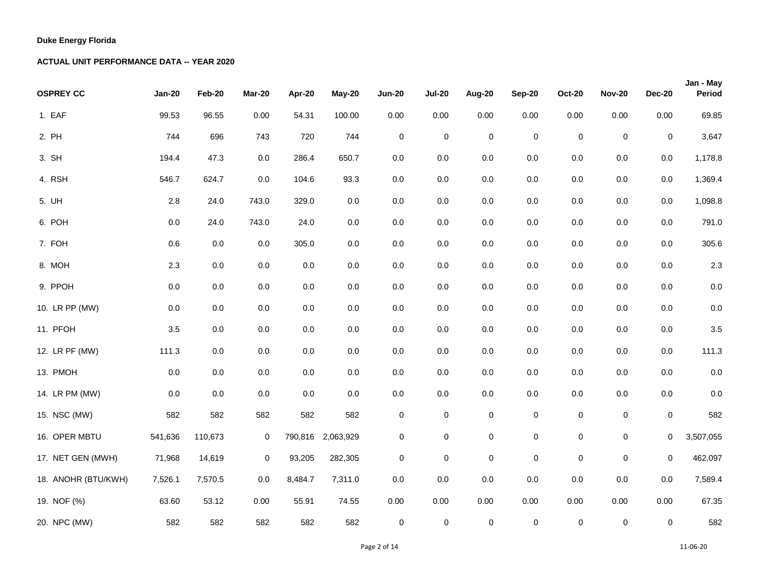| <b>OSPREY CC</b>    | <b>Jan-20</b> | Feb-20  | Mar-20      | Apr-20  | <b>May-20</b>     | <b>Jun-20</b> | <b>Jul-20</b>       | Aug-20      | <b>Sep-20</b> | <b>Oct-20</b> | <b>Nov-20</b> | <b>Dec-20</b> | Jan - May<br>Period |
|---------------------|---------------|---------|-------------|---------|-------------------|---------------|---------------------|-------------|---------------|---------------|---------------|---------------|---------------------|
| 1. EAF              | 99.53         | 96.55   | 0.00        | 54.31   | 100.00            | 0.00          | 0.00                | 0.00        | 0.00          | 0.00          | 0.00          | 0.00          | 69.85               |
| 2. PH               | 744           | 696     | 743         | 720     | 744               | $\mathbf 0$   | $\mathbf 0$         | $\mathbf 0$ | $\pmb{0}$     | $\mathsf 0$   | $\mathbf 0$   | $\mathbf 0$   | 3,647               |
| 3. SH               | 194.4         | 47.3    | 0.0         | 286.4   | 650.7             | 0.0           | $0.0\,$             | 0.0         | $0.0\,$       | $0.0\,$       | $0.0\,$       | 0.0           | 1,178.8             |
| 4. RSH              | 546.7         | 624.7   | 0.0         | 104.6   | 93.3              | $0.0\,$       | 0.0                 | 0.0         | $0.0\,$       | $0.0\,$       | $0.0\,$       | 0.0           | 1,369.4             |
| 5. UH               | 2.8           | 24.0    | 743.0       | 329.0   | $0.0\,$           | $0.0\,$       | 0.0                 | 0.0         | $0.0\,$       | $0.0\,$       | $0.0\,$       | 0.0           | 1,098.8             |
| 6. POH              | $0.0\,$       | 24.0    | 743.0       | 24.0    | $0.0\,$           | $0.0\,$       | $0.0\,$             | 0.0         | $0.0\,$       | 0.0           | $0.0\,$       | 0.0           | 791.0               |
| 7. FOH              | 0.6           | 0.0     | 0.0         | 305.0   | 0.0               | 0.0           | 0.0                 | 0.0         | 0.0           | $0.0\,$       | $0.0\,$       | 0.0           | 305.6               |
| 8. MOH              | $2.3\,$       | $0.0\,$ | $0.0\,$     | 0.0     | $0.0\,$           | $0.0\,$       | $0.0\,$             | 0.0         | $0.0\,$       | $0.0\,$       | $0.0\,$       | $0.0\,$       | 2.3                 |
| 9. PPOH             | $0.0\,$       | $0.0\,$ | $0.0\,$     | $0.0\,$ | $0.0\,$           | 0.0           | 0.0                 | 0.0         | $0.0\,$       | $0.0\,$       | $0.0\,$       | 0.0           | 0.0                 |
| 10. LR PP (MW)      | $0.0\,$       | $0.0\,$ | $0.0\,$     | $0.0\,$ | $0.0\,$           | $0.0\,$       | $0.0\,$             | 0.0         | $0.0\,$       | $0.0\,$       | $0.0\,$       | 0.0           | 0.0                 |
| 11. PFOH            | 3.5           | $0.0\,$ | $0.0\,$     | $0.0\,$ | $0.0\,$           | $0.0\,$       | 0.0                 | 0.0         | $0.0\,$       | $0.0\,$       | $0.0\,$       | 0.0           | 3.5                 |
| 12. LR PF (MW)      | 111.3         | $0.0\,$ | $0.0\,$     | $0.0\,$ | $0.0\,$           | $0.0\,$       | 0.0                 | 0.0         | 0.0           | $0.0\,$       | $0.0\,$       | $0.0\,$       | 111.3               |
| 13. PMOH            | $0.0\,$       | $0.0\,$ | 0.0         | $0.0\,$ | $0.0\,$           | $0.0\,$       | $0.0\,$             | 0.0         | $0.0\,$       | $0.0\,$       | $0.0\,$       | $0.0\,$       | 0.0                 |
| 14. LR PM (MW)      | 0.0           | 0.0     | 0.0         | $0.0\,$ | 0.0               | $0.0\,$       | 0.0                 | 0.0         | 0.0           | $0.0\,$       | $0.0\,$       | 0.0           | 0.0                 |
| 15. NSC (MW)        | 582           | 582     | 582         | 582     | 582               | $\pmb{0}$     | $\pmb{0}$           | $\pmb{0}$   | $\pmb{0}$     | $\mathbf 0$   | $\pmb{0}$     | $\pmb{0}$     | 582                 |
| 16. OPER MBTU       | 541,636       | 110,673 | $\mathbf 0$ |         | 790,816 2,063,929 | $\mathbf 0$   | $\pmb{0}$           | $\pmb{0}$   | $\mathsf 0$   | 0             | $\mathsf 0$   | 0             | 3,507,055           |
| 17. NET GEN (MWH)   | 71,968        | 14,619  | $\mathbf 0$ | 93,205  | 282,305           | 0             | 0                   | $\pmb{0}$   | $\pmb{0}$     | $\pmb{0}$     | $\mathsf 0$   | 0             | 462,097             |
| 18. ANOHR (BTU/KWH) | 7,526.1       | 7,570.5 | 0.0         | 8,484.7 | 7,311.0           | $0.0\,$       | 0.0                 | 0.0         | $0.0\,$       | $0.0\,$       | $0.0\,$       | $0.0\,$       | 7,589.4             |
| 19. NOF (%)         | 63.60         | 53.12   | 0.00        | 55.91   | 74.55             | 0.00          | 0.00                | 0.00        | 0.00          | 0.00          | 0.00          | 0.00          | 67.35               |
| 20. NPC (MW)        | 582           | 582     | 582         | 582     | 582               | $\pmb{0}$     | $\mathsf{O}\xspace$ | $\pmb{0}$   | $\mathsf 0$   | $\pmb{0}$     | $\mathsf 0$   | $\mathbf 0$   | 582                 |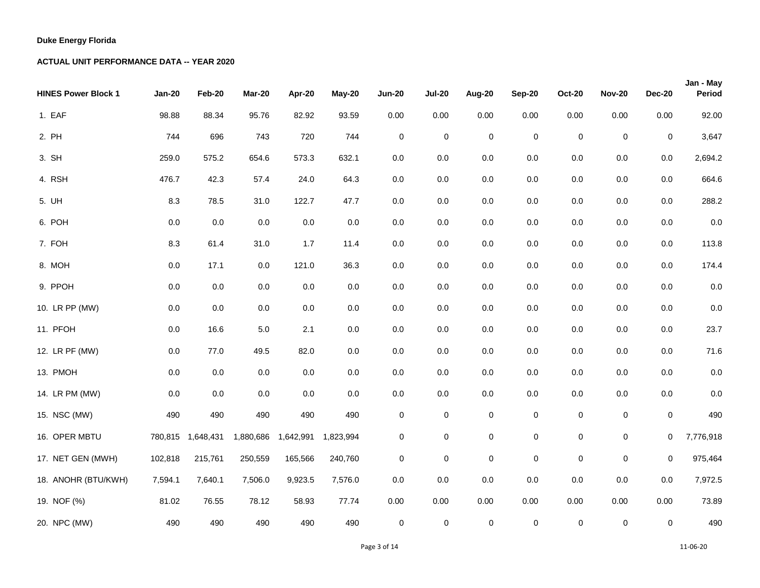| <b>HINES Power Block 1</b> | <b>Jan-20</b> | Feb-20            | Mar-20    | Apr-20              | <b>May-20</b> | <b>Jun-20</b> | <b>Jul-20</b>       | Aug-20      | <b>Sep-20</b>       | <b>Oct-20</b> | <b>Nov-20</b> | <b>Dec-20</b> | Jan - May<br>Period |
|----------------------------|---------------|-------------------|-----------|---------------------|---------------|---------------|---------------------|-------------|---------------------|---------------|---------------|---------------|---------------------|
| 1. EAF                     | 98.88         | 88.34             | 95.76     | 82.92               | 93.59         | 0.00          | 0.00                | 0.00        | 0.00                | 0.00          | 0.00          | 0.00          | 92.00               |
| 2. PH                      | 744           | 696               | 743       | 720                 | 744           | $\mathbf 0$   | $\mathbf 0$         | $\mathbf 0$ | $\pmb{0}$           | $\pmb{0}$     | $\mathbf 0$   | $\mathbf 0$   | 3,647               |
| 3. SH                      | 259.0         | 575.2             | 654.6     | 573.3               | 632.1         | 0.0           | 0.0                 | 0.0         | 0.0                 | 0.0           | $0.0\,$       | 0.0           | 2,694.2             |
| 4. RSH                     | 476.7         | 42.3              | 57.4      | 24.0                | 64.3          | $0.0\,$       | 0.0                 | 0.0         | 0.0                 | $0.0\,$       | $0.0\,$       | 0.0           | 664.6               |
| 5. UH                      | 8.3           | 78.5              | 31.0      | 122.7               | 47.7          | $0.0\,$       | 0.0                 | 0.0         | 0.0                 | $0.0\,$       | $0.0\,$       | $0.0\,$       | 288.2               |
| 6. POH                     | 0.0           | $0.0\,$           | 0.0       | $0.0\,$             | $0.0\,$       | 0.0           | 0.0                 | 0.0         | 0.0                 | 0.0           | $0.0\,$       | 0.0           | 0.0                 |
| 7. FOH                     | 8.3           | 61.4              | 31.0      | 1.7                 | 11.4          | 0.0           | 0.0                 | 0.0         | 0.0                 | $0.0\,$       | 0.0           | $0.0\,$       | 113.8               |
| 8. MOH                     | $0.0\,$       | 17.1              | 0.0       | 121.0               | 36.3          | 0.0           | 0.0                 | 0.0         | 0.0                 | $0.0\,$       | $0.0\,$       | 0.0           | 174.4               |
| 9. PPOH                    | 0.0           | $0.0\,$           | 0.0       | $0.0\,$             | $0.0\,$       | 0.0           | 0.0                 | 0.0         | 0.0                 | 0.0           | $0.0\,$       | 0.0           | 0.0                 |
| 10. LR PP (MW)             | $0.0\,$       | 0.0               | 0.0       | $0.0\,$             | $0.0\,$       | $0.0\,$       | 0.0                 | 0.0         | 0.0                 | 0.0           | $0.0\,$       | 0.0           | 0.0                 |
| 11. PFOH                   | $0.0\,$       | 16.6              | $5.0\,$   | 2.1                 | $0.0\,$       | $0.0\,$       | 0.0                 | $0.0\,$     | 0.0                 | 0.0           | $0.0\,$       | $0.0\,$       | 23.7                |
| 12. LR PF (MW)             | 0.0           | 77.0              | 49.5      | 82.0                | 0.0           | 0.0           | 0.0                 | 0.0         | 0.0                 | 0.0           | $0.0\,$       | 0.0           | 71.6                |
| 13. PMOH                   | $0.0\,$       | $0.0\,$           | 0.0       | 0.0                 | $0.0\,$       | $0.0\,$       | 0.0                 | 0.0         | $0.0\,$             | $0.0\,$       | $0.0\,$       | $0.0\,$       | 0.0                 |
| 14. LR PM (MW)             | 0.0           | $0.0\,$           | $0.0\,$   | $0.0\,$             | $0.0\,$       | $0.0\,$       | 0.0                 | 0.0         | $0.0\,$             | $0.0\,$       | $0.0\,$       | 0.0           | 0.0                 |
| 15. NSC (MW)               | 490           | 490               | 490       | 490                 | 490           | 0             | 0                   | $\pmb{0}$   | $\pmb{0}$           | $\mathbf 0$   | 0             | $\mathbf 0$   | 490                 |
| 16. OPER MBTU              |               | 780,815 1,648,431 | 1,880,686 | 1,642,991 1,823,994 |               | 0             | $\pmb{0}$           | $\pmb{0}$   | $\mathsf{O}\xspace$ | 0             | $\pmb{0}$     | 0             | 7,776,918           |
| 17. NET GEN (MWH)          | 102,818       | 215,761           | 250,559   | 165,566             | 240,760       | $\mathbf 0$   | $\mathbf 0$         | $\pmb{0}$   | $\pmb{0}$           | $\pmb{0}$     | $\mathsf 0$   | 0             | 975,464             |
| 18. ANOHR (BTU/KWH)        | 7,594.1       | 7,640.1           | 7,506.0   | 9,923.5             | 7,576.0       | $0.0\,$       | $0.0\,$             | 0.0         | $0.0\,$             | 0.0           | $0.0\,$       | 0.0           | 7,972.5             |
| 19. NOF (%)                | 81.02         | 76.55             | 78.12     | 58.93               | 77.74         | 0.00          | 0.00                | 0.00        | 0.00                | 0.00          | 0.00          | 0.00          | 73.89               |
| 20. NPC (MW)               | 490           | 490               | 490       | 490                 | 490           | $\pmb{0}$     | $\mathsf{O}\xspace$ | $\pmb{0}$   | $\mathbf 0$         | $\pmb{0}$     | $\mathsf 0$   | $\mathbf 0$   | 490                 |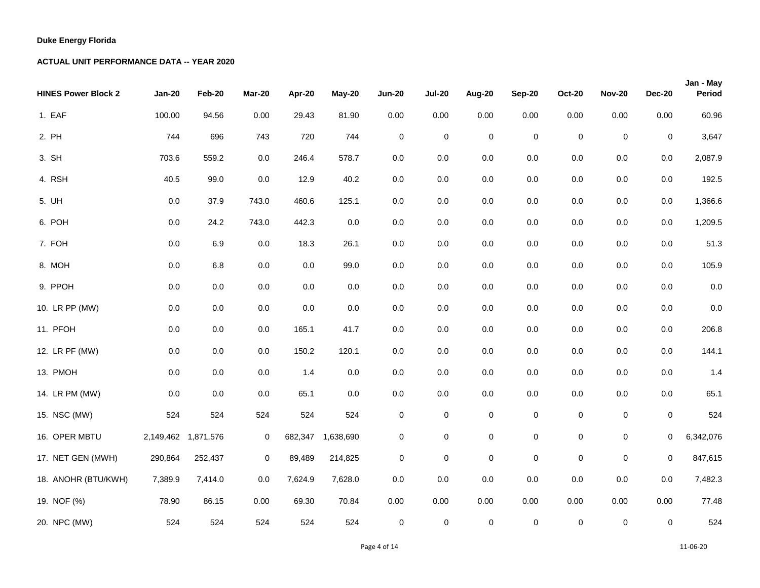| <b>HINES Power Block 2</b> | <b>Jan-20</b>       | Feb-20  | Mar-20      | Apr-20  | <b>May-20</b>     | <b>Jun-20</b> | <b>Jul-20</b> | Aug-20      | Sep-20              | <b>Oct-20</b>    | <b>Nov-20</b> | <b>Dec-20</b> | Jan - May<br>Period |
|----------------------------|---------------------|---------|-------------|---------|-------------------|---------------|---------------|-------------|---------------------|------------------|---------------|---------------|---------------------|
| 1. EAF                     | 100.00              | 94.56   | 0.00        | 29.43   | 81.90             | 0.00          | 0.00          | 0.00        | 0.00                | 0.00             | $0.00\,$      | 0.00          | 60.96               |
| 2. PH                      | 744                 | 696     | 743         | 720     | 744               | $\mathbf 0$   | $\mathbf 0$   | $\pmb{0}$   | $\pmb{0}$           | $\boldsymbol{0}$ | $\mathbf 0$   | 0             | 3,647               |
| 3. SH                      | 703.6               | 559.2   | $0.0\,$     | 246.4   | 578.7             | $0.0\,$       | 0.0           | 0.0         | 0.0                 | 0.0              | $0.0\,$       | $0.0\,$       | 2,087.9             |
| 4. RSH                     | 40.5                | 99.0    | 0.0         | 12.9    | 40.2              | $0.0\,$       | 0.0           | $0.0\,$     | 0.0                 | 0.0              | $0.0\,$       | 0.0           | 192.5               |
| 5. UH                      | $0.0\,$             | 37.9    | 743.0       | 460.6   | 125.1             | $0.0\,$       | 0.0           | 0.0         | $0.0\,$             | $0.0\,$          | $0.0\,$       | 0.0           | 1,366.6             |
| 6. POH                     | $0.0\,$             | 24.2    | 743.0       | 442.3   | 0.0               | $0.0\,$       | 0.0           | $0.0\,$     | 0.0                 | 0.0              | $0.0\,$       | 0.0           | 1,209.5             |
| 7. FOH                     | 0.0                 | 6.9     | 0.0         | 18.3    | 26.1              | $0.0\,$       | 0.0           | 0.0         | 0.0                 | 0.0              | 0.0           | 0.0           | 51.3                |
| 8. MOH                     | 0.0                 | $6.8\,$ | $0.0\,$     | $0.0\,$ | 99.0              | $0.0\,$       | 0.0           | 0.0         | $0.0\,$             | $0.0\,$          | $0.0\,$       | $0.0\,$       | 105.9               |
| 9. PPOH                    | 0.0                 | $0.0\,$ | $0.0\,$     | 0.0     | 0.0               | $0.0\,$       | $0.0\,$       | 0.0         | 0.0                 | 0.0              | $0.0\,$       | 0.0           | 0.0                 |
| 10. LR PP (MW)             | $0.0\,$             | $0.0\,$ | $0.0\,$     | 0.0     | $0.0\,$           | $0.0\,$       | 0.0           | $0.0\,$     | 0.0                 | 0.0              | $0.0\,$       | $0.0\,$       | 0.0                 |
| 11. PFOH                   | 0.0                 | $0.0\,$ | 0.0         | 165.1   | 41.7              | $0.0\,$       | 0.0           | 0.0         | $0.0\,$             | 0.0              | $0.0\,$       | $0.0\,$       | 206.8               |
| 12. LR PF (MW)             | 0.0                 | 0.0     | 0.0         | 150.2   | 120.1             | $0.0\,$       | 0.0           | 0.0         | 0.0                 | $0.0\,$          | $0.0\,$       | 0.0           | 144.1               |
| 13. PMOH                   | 0.0                 | $0.0\,$ | $0.0\,$     | 1.4     | $0.0\,$           | $0.0\,$       | 0.0           | $0.0\,$     | 0.0                 | 0.0              | $0.0\,$       | $0.0\,$       | 1.4                 |
| 14. LR PM (MW)             | 0.0                 | 0.0     | 0.0         | 65.1    | 0.0               | $0.0\,$       | 0.0           | $0.0\,$     | 0.0                 | 0.0              | $0.0\,$       | 0.0           | 65.1                |
| 15. NSC (MW)               | 524                 | 524     | 524         | 524     | 524               | $\pmb{0}$     | $\pmb{0}$     | $\pmb{0}$   | $\pmb{0}$           | $\mathsf 0$      | $\pmb{0}$     | 0             | 524                 |
| 16. OPER MBTU              | 2,149,462 1,871,576 |         | $\mathbf 0$ |         | 682,347 1,638,690 | $\pmb{0}$     | $\pmb{0}$     | $\mathsf 0$ | $\pmb{0}$           | $\mathsf 0$      | $\pmb{0}$     | 0             | 6,342,076           |
| 17. NET GEN (MWH)          | 290,864             | 252,437 | $\mathbf 0$ | 89,489  | 214,825           | $\mathbf 0$   | $\mathbf 0$   | 0           | 0                   | $\boldsymbol{0}$ | 0             | 0             | 847,615             |
| 18. ANOHR (BTU/KWH)        | 7,389.9             | 7,414.0 | $0.0\,$     | 7,624.9 | 7,628.0           | $0.0\,$       | 0.0           | $0.0\,$     | $0.0\,$             | $0.0\,$          | $0.0\,$       | 0.0           | 7,482.3             |
| 19. NOF (%)                | 78.90               | 86.15   | 0.00        | 69.30   | 70.84             | 0.00          | 0.00          | 0.00        | 0.00                | 0.00             | 0.00          | 0.00          | 77.48               |
| 20. NPC (MW)               | 524                 | 524     | 524         | 524     | 524               | $\mathbf 0$   | $\mathbf 0$   | $\pmb{0}$   | $\mathsf{O}\xspace$ | $\boldsymbol{0}$ | $\pmb{0}$     | 0             | 524                 |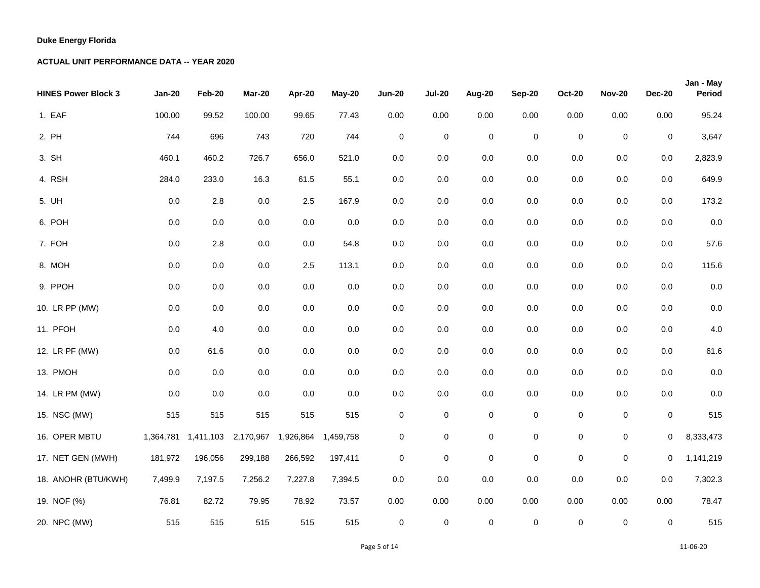| <b>HINES Power Block 3</b> | <b>Jan-20</b> | Feb-20  | Mar-20                          | Apr-20              | <b>May-20</b> | <b>Jun-20</b> | <b>Jul-20</b>       | Aug-20      | <b>Sep-20</b> | <b>Oct-20</b> | <b>Nov-20</b>       | <b>Dec-20</b> | Jan - May<br>Period |
|----------------------------|---------------|---------|---------------------------------|---------------------|---------------|---------------|---------------------|-------------|---------------|---------------|---------------------|---------------|---------------------|
| 1. EAF                     | 100.00        | 99.52   | 100.00                          | 99.65               | 77.43         | 0.00          | 0.00                | 0.00        | 0.00          | 0.00          | 0.00                | 0.00          | 95.24               |
| 2. PH                      | 744           | 696     | 743                             | 720                 | 744           | $\pmb{0}$     | $\mathbf 0$         | $\mathbf 0$ | $\pmb{0}$     | $\mathsf 0$   | $\mathbf 0$         | $\mathbf 0$   | 3,647               |
| 3. SH                      | 460.1         | 460.2   | 726.7                           | 656.0               | 521.0         | 0.0           | 0.0                 | 0.0         | 0.0           | 0.0           | $0.0\,$             | 0.0           | 2,823.9             |
| 4. RSH                     | 284.0         | 233.0   | 16.3                            | 61.5                | 55.1          | $0.0\,$       | 0.0                 | 0.0         | 0.0           | $0.0\,$       | $0.0\,$             | 0.0           | 649.9               |
| 5. UH                      | 0.0           | $2.8\,$ | 0.0                             | $2.5\,$             | 167.9         | $0.0\,$       | 0.0                 | 0.0         | $0.0\,$       | $0.0\,$       | $0.0\,$             | 0.0           | 173.2               |
| 6. POH                     | $0.0\,$       | $0.0\,$ | $0.0\,$                         | $0.0\,$             | $0.0\,$       | $0.0\,$       | 0.0                 | 0.0         | 0.0           | 0.0           | $0.0\,$             | 0.0           | 0.0                 |
| 7. FOH                     | $0.0\,$       | 2.8     | $0.0\,$                         | $0.0\,$             | 54.8          | 0.0           | 0.0                 | 0.0         | 0.0           | $0.0\,$       | $0.0\,$             | $0.0\,$       | 57.6                |
| 8. MOH                     | $0.0\,$       | $0.0\,$ | $0.0\,$                         | $2.5\,$             | 113.1         | 0.0           | 0.0                 | 0.0         | 0.0           | $0.0\,$       | $0.0\,$             | $0.0\,$       | 115.6               |
| 9. PPOH                    | 0.0           | $0.0\,$ | 0.0                             | $0.0\,$             | $0.0\,$       | $0.0\,$       | 0.0                 | 0.0         | 0.0           | 0.0           | $0.0\,$             | 0.0           | 0.0                 |
| 10. LR PP (MW)             | $0.0\,$       | $0.0\,$ | $0.0\,$                         | $0.0\,$             | $0.0\,$       | $0.0\,$       | 0.0                 | 0.0         | $0.0\,$       | $0.0\,$       | $0.0\,$             | 0.0           | $0.0\,$             |
| 11. PFOH                   | $0.0\,$       | 4.0     | $0.0\,$                         | $0.0\,$             | $0.0\,$       | $0.0\,$       | 0.0                 | 0.0         | 0.0           | $0.0\,$       | $0.0\,$             | $0.0\,$       | 4.0                 |
| 12. LR PF (MW)             | 0.0           | 61.6    | 0.0                             | $0.0\,$             | 0.0           | 0.0           | 0.0                 | 0.0         | 0.0           | 0.0           | $0.0\,$             | 0.0           | 61.6                |
| 13. PMOH                   | $0.0\,$       | 0.0     | 0.0                             | 0.0                 | $0.0\,$       | $0.0\,$       | 0.0                 | 0.0         | $0.0\,$       | $0.0\,$       | $0.0\,$             | $0.0\,$       | 0.0                 |
| 14. LR PM (MW)             | 0.0           | $0.0\,$ | 0.0                             | $0.0\,$             | $0.0\,$       | $0.0\,$       | $0.0\,$             | 0.0         | $0.0\,$       | $0.0\,$       | $0.0\,$             | 0.0           | 0.0                 |
| 15. NSC (MW)               | 515           | 515     | 515                             | 515                 | 515           | 0             | $\pmb{0}$           | $\pmb{0}$   | $\pmb{0}$     | $\mathbf 0$   | $\pmb{0}$           | $\mathbf 0$   | 515                 |
| 16. OPER MBTU              |               |         | 1,364,781  1,411,103  2,170,967 | 1,926,864 1,459,758 |               | 0             | $\pmb{0}$           | $\pmb{0}$   | $\mathbf 0$   | 0             | $\pmb{0}$           | 0             | 8,333,473           |
| 17. NET GEN (MWH)          | 181,972       | 196,056 | 299,188                         | 266,592             | 197,411       | $\mathbf 0$   | $\pmb{0}$           | $\pmb{0}$   | $\pmb{0}$     | $\mathbf 0$   | $\mathsf{O}\xspace$ | 0             | 1,141,219           |
| 18. ANOHR (BTU/KWH)        | 7,499.9       | 7,197.5 | 7,256.2                         | 7,227.8             | 7,394.5       | 0.0           | 0.0                 | 0.0         | 0.0           | $0.0\,$       | $0.0\,$             | 0.0           | 7,302.3             |
| 19. NOF (%)                | 76.81         | 82.72   | 79.95                           | 78.92               | 73.57         | 0.00          | 0.00                | 0.00        | 0.00          | 0.00          | 0.00                | 0.00          | 78.47               |
| 20. NPC (MW)               | 515           | 515     | 515                             | 515                 | 515           | $\pmb{0}$     | $\mathsf{O}\xspace$ | $\pmb{0}$   | $\mathsf 0$   | $\mathsf 0$   | $\pmb{0}$           | $\mathbf 0$   | 515                 |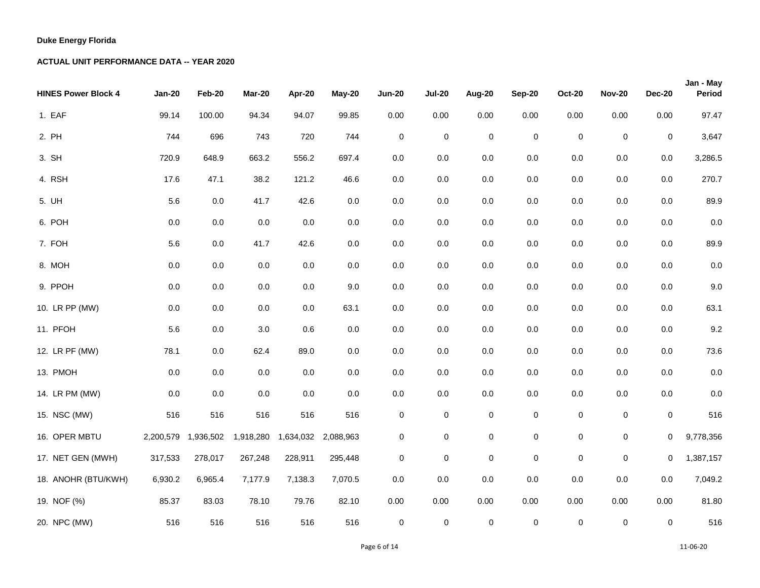| <b>HINES Power Block 4</b> | <b>Jan-20</b> | Feb-20    | <b>Mar-20</b> | Apr-20              | May-20  | <b>Jun-20</b> | <b>Jul-20</b> | Aug-20      | <b>Sep-20</b>       | <b>Oct-20</b>       | <b>Nov-20</b> | <b>Dec-20</b> | Jan - May<br>Period |
|----------------------------|---------------|-----------|---------------|---------------------|---------|---------------|---------------|-------------|---------------------|---------------------|---------------|---------------|---------------------|
| 1. EAF                     | 99.14         | 100.00    | 94.34         | 94.07               | 99.85   | 0.00          | 0.00          | 0.00        | 0.00                | 0.00                | 0.00          | 0.00          | 97.47               |
| 2. PH                      | 744           | 696       | 743           | 720                 | 744     | $\pmb{0}$     | $\pmb{0}$     | $\pmb{0}$   | $\mathsf{O}\xspace$ | $\mathsf{O}\xspace$ | $\pmb{0}$     | $\mathbf 0$   | 3,647               |
| 3. SH                      | 720.9         | 648.9     | 663.2         | 556.2               | 697.4   | 0.0           | 0.0           | 0.0         | 0.0                 | $0.0\,$             | 0.0           | 0.0           | 3,286.5             |
| 4. RSH                     | 17.6          | 47.1      | 38.2          | 121.2               | 46.6    | $0.0\,$       | 0.0           | 0.0         | $0.0\,$             | $0.0\,$             | 0.0           | 0.0           | 270.7               |
| 5. UH                      | 5.6           | $0.0\,$   | 41.7          | 42.6                | $0.0\,$ | $0.0\,$       | 0.0           | 0.0         | $0.0\,$             | $0.0\,$             | $0.0\,$       | 0.0           | 89.9                |
| 6. POH                     | 0.0           | 0.0       | 0.0           | $0.0\,$             | 0.0     | $0.0\,$       | 0.0           | 0.0         | 0.0                 | 0.0                 | 0.0           | 0.0           | $0.0\,$             |
| 7. FOH                     | 5.6           | 0.0       | 41.7          | 42.6                | 0.0     | 0.0           | 0.0           | 0.0         | 0.0                 | $0.0\,$             | 0.0           | $0.0\,$       | 89.9                |
| 8. MOH                     | 0.0           | 0.0       | 0.0           | $0.0\,$             | $0.0\,$ | 0.0           | 0.0           | 0.0         | 0.0                 | $0.0\,$             | 0.0           | $0.0\,$       | $0.0\,$             |
| 9. PPOH                    | 0.0           | 0.0       | 0.0           | $0.0\,$             | 9.0     | $0.0\,$       | 0.0           | 0.0         | 0.0                 | 0.0                 | 0.0           | 0.0           | $9.0\,$             |
| 10. LR PP (MW)             | 0.0           | 0.0       | $0.0\,$       | $0.0\,$             | 63.1    | $0.0\,$       | 0.0           | 0.0         | $0.0\,$             | $0.0\,$             | $0.0\,$       | $0.0\,$       | 63.1                |
| 11. PFOH                   | 5.6           | 0.0       | 3.0           | 0.6                 | $0.0\,$ | $0.0\,$       | $0.0\,$       | 0.0         | $0.0\,$             | $0.0\,$             | $0.0\,$       | $0.0\,$       | 9.2                 |
| 12. LR PF (MW)             | 78.1          | $0.0\,$   | 62.4          | 89.0                | 0.0     | 0.0           | 0.0           | 0.0         | 0.0                 | 0.0                 | 0.0           | 0.0           | 73.6                |
| 13. PMOH                   | 0.0           | 0.0       | 0.0           | 0.0                 | $0.0\,$ | $0.0\,$       | 0.0           | 0.0         | $0.0\,$             | $0.0\,$             | $0.0\,$       | $0.0\,$       | $0.0\,$             |
| 14. LR PM (MW)             | 0.0           | 0.0       | 0.0           | $0.0\,$             | $0.0\,$ | $0.0\,$       | 0.0           | 0.0         | $0.0\,$             | $0.0\,$             | $0.0\,$       | 0.0           | $0.0\,$             |
| 15. NSC (MW)               | 516           | 516       | 516           | 516                 | 516     | 0             | $\pmb{0}$     | $\pmb{0}$   | $\pmb{0}$           | $\mathsf 0$         | 0             | $\mathbf 0$   | 516                 |
| 16. OPER MBTU              | 2,200,579     | 1,936,502 | 1,918,280     | 1,634,032 2,088,963 |         | $\mathbf 0$   | $\mathbf 0$   | $\pmb{0}$   | $\pmb{0}$           | 0                   | $\mathbf 0$   | 0             | 9,778,356           |
| 17. NET GEN (MWH)          | 317,533       | 278,017   | 267,248       | 228,911             | 295,448 | $\mathbf 0$   | $\mathbf 0$   | $\mathbf 0$ | $\mathsf 0$         | $\mathsf 0$         | $\mathbf 0$   | 0             | 1,387,157           |
| 18. ANOHR (BTU/KWH)        | 6,930.2       | 6,965.4   | 7,177.9       | 7,138.3             | 7,070.5 | 0.0           | 0.0           | 0.0         | 0.0                 | 0.0                 | 0.0           | 0.0           | 7,049.2             |
| 19. NOF (%)                | 85.37         | 83.03     | 78.10         | 79.76               | 82.10   | 0.00          | 0.00          | 0.00        | 0.00                | 0.00                | 0.00          | 0.00          | 81.80               |
| 20. NPC (MW)               | 516           | 516       | 516           | 516                 | 516     | $\pmb{0}$     | $\pmb{0}$     | $\pmb{0}$   | $\pmb{0}$           | 0                   | $\pmb{0}$     | $\mathbf 0$   | 516                 |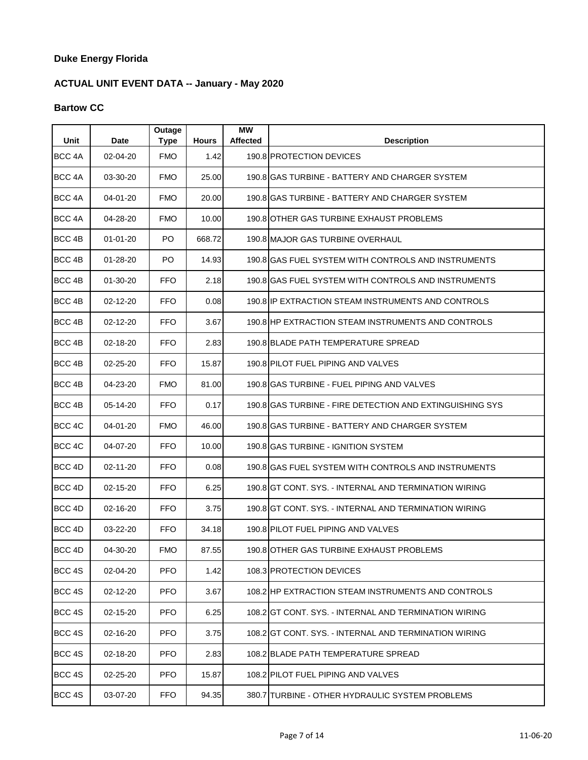# **ACTUAL UNIT EVENT DATA -- January - May 2020**

## **Bartow CC**

| Unit              | <b>Date</b>    | Outage<br><b>Type</b> | <b>Hours</b> | МW<br><b>Affected</b> | <b>Description</b>                                       |
|-------------------|----------------|-----------------------|--------------|-----------------------|----------------------------------------------------------|
| BCC <sub>4A</sub> | 02-04-20       | <b>FMO</b>            | 1.42         |                       | 190.8 PROTECTION DEVICES                                 |
| BCC 4A            | 03-30-20       | <b>FMO</b>            | 25.00        |                       | 190.8 IGAS TURBINE - BATTERY AND CHARGER SYSTEM          |
| BCC <sub>4A</sub> | 04-01-20       | <b>FMO</b>            | 20.00        |                       | 190.8 GAS TURBINE - BATTERY AND CHARGER SYSTEM           |
| BCC <sub>4A</sub> | 04-28-20       | <b>FMO</b>            | 10.00        |                       | 190.8 OTHER GAS TURBINE EXHAUST PROBLEMS                 |
| BCC <sub>4B</sub> | $01 - 01 - 20$ | PO.                   | 668.72       |                       | 190.8 MAJOR GAS TURBINE OVERHAUL                         |
| BCC <sub>4B</sub> | $01 - 28 - 20$ | PO.                   | 14.93        |                       | 190.8 GAS FUEL SYSTEM WITH CONTROLS AND INSTRUMENTS      |
| BCC 4B            | $01 - 30 - 20$ | <b>FFO</b>            | 2.18         |                       | 190.8 GAS FUEL SYSTEM WITH CONTROLS AND INSTRUMENTS      |
| BCC <sub>4B</sub> | 02-12-20       | <b>FFO</b>            | 0.08         |                       | 190.8 IP EXTRACTION STEAM INSTRUMENTS AND CONTROLS       |
| BCC <sub>4B</sub> | $02 - 12 - 20$ | <b>FFO</b>            | 3.67         |                       | 190.8 HP EXTRACTION STEAM INSTRUMENTS AND CONTROLS       |
| BCC <sub>4B</sub> | 02-18-20       | <b>FFO</b>            | 2.83         |                       | 190.8 BLADE PATH TEMPERATURE SPREAD                      |
| BCC <sub>4B</sub> | $02 - 25 - 20$ | <b>FFO</b>            | 15.87        |                       | 190.8 PILOT FUEL PIPING AND VALVES                       |
| BCC <sub>4B</sub> | 04-23-20       | <b>FMO</b>            | 81.00        |                       | 190.8 GAS TURBINE - FUEL PIPING AND VALVES               |
| BCC <sub>4B</sub> | 05-14-20       | <b>FFO</b>            | 0.17         |                       | 190.8 GAS TURBINE - FIRE DETECTION AND EXTINGUISHING SYS |
| BCC <sub>4C</sub> | 04-01-20       | <b>FMO</b>            | 46.00        |                       | 190.8 IGAS TURBINE - BATTERY AND CHARGER SYSTEM          |
| BCC 4C            | 04-07-20       | <b>FFO</b>            | 10.00        |                       | 190.8 GAS TURBINE - IGNITION SYSTEM                      |
| BCC <sub>4D</sub> | $02 - 11 - 20$ | <b>FFO</b>            | 0.08         |                       | 190.8 GAS FUEL SYSTEM WITH CONTROLS AND INSTRUMENTS      |
| BCC <sub>4D</sub> | $02 - 15 - 20$ | <b>FFO</b>            | 6.25         |                       | 190.8 GT CONT. SYS. - INTERNAL AND TERMINATION WIRING    |
| BCC <sub>4D</sub> | 02-16-20       | <b>FFO</b>            | 3.75         |                       | 190.8 GT CONT. SYS. - INTERNAL AND TERMINATION WIRING    |
| BCC <sub>4D</sub> | 03-22-20       | <b>FFO</b>            | 34.18        |                       | 190.8 PILOT FUEL PIPING AND VALVES                       |
| BCC <sub>4D</sub> | 04-30-20       | <b>FMO</b>            | 87.55        |                       | 190.8 OTHER GAS TURBINE EXHAUST PROBLEMS                 |
| BCC 4S            | 02-04-20       | <b>PFO</b>            | 1.42         |                       | 108.3 PROTECTION DEVICES                                 |
| BCC 4S            | $02 - 12 - 20$ | <b>PFO</b>            | 3.67         |                       | 108.2 HP EXTRACTION STEAM INSTRUMENTS AND CONTROLS       |
| BCC 4S            | 02-15-20       | <b>PFO</b>            | 6.25         |                       | 108.2 GT CONT. SYS. - INTERNAL AND TERMINATION WIRING    |
| BCC 4S            | 02-16-20       | <b>PFO</b>            | 3.75         |                       | 108.2 GT CONT. SYS. - INTERNAL AND TERMINATION WIRING    |
| BCC 4S            | 02-18-20       | <b>PFO</b>            | 2.83         |                       | 108.2 BLADE PATH TEMPERATURE SPREAD                      |
| BCC 4S            | 02-25-20       | <b>PFO</b>            | 15.87        |                       | 108.2 PILOT FUEL PIPING AND VALVES                       |
| BCC 4S            | 03-07-20       | <b>FFO</b>            | 94.35        |                       | 380.7 ITURBINE - OTHER HYDRAULIC SYSTEM PROBLEMS         |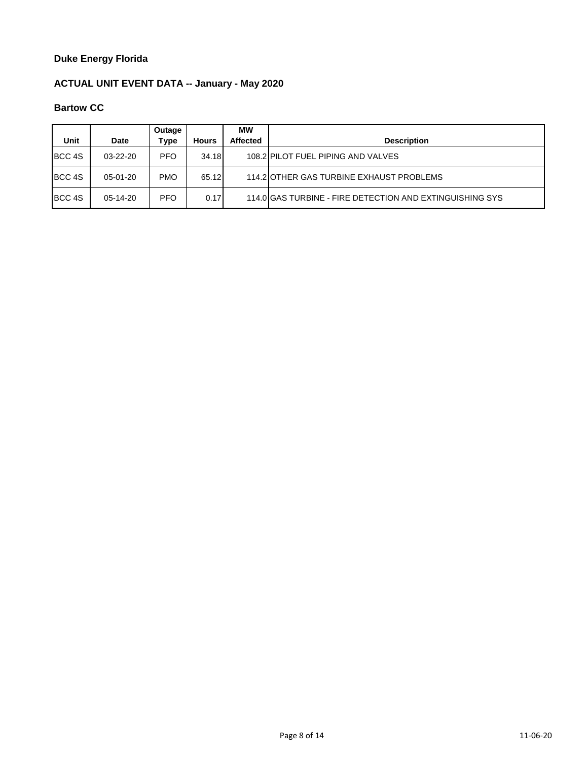# **ACTUAL UNIT EVENT DATA -- January - May 2020**

## **Bartow CC**

| Unit              | <b>Date</b>    | Outage<br>Type | <b>Hours</b> | МW<br><b>Affected</b> | <b>Description</b>                                       |
|-------------------|----------------|----------------|--------------|-----------------------|----------------------------------------------------------|
| <b>BCC 4S</b>     | $03 - 22 - 20$ | <b>PFO</b>     | 34.18        |                       | 108.2 PILOT FUEL PIPING AND VALVES                       |
| BCC 4S            | 05-01-20       | <b>PMO</b>     | 65.12        |                       | 114.2 OTHER GAS TURBINE EXHAUST PROBLEMS                 |
| BCC <sub>4S</sub> | $05-14-20$     | <b>PFO</b>     | 0.17         |                       | 114.0 GAS TURBINE - FIRE DETECTION AND EXTINGUISHING SYS |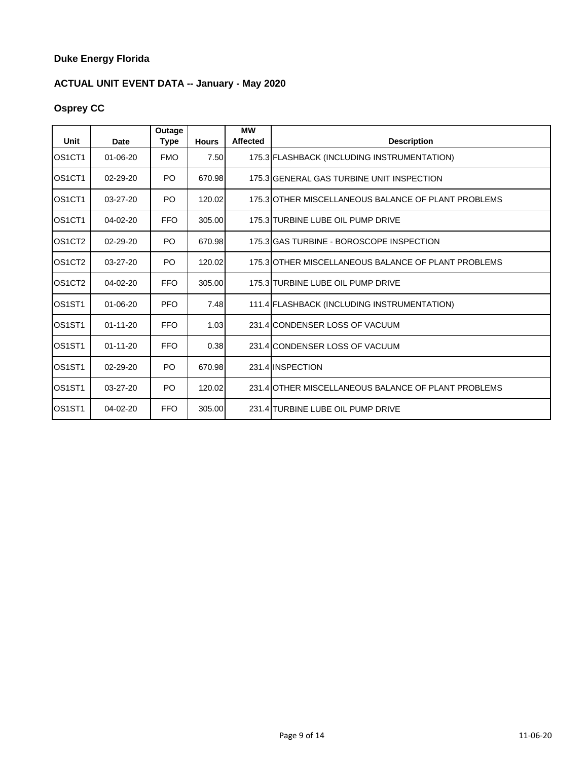# **ACTUAL UNIT EVENT DATA -- January - May 2020**

# **Osprey CC**

| Unit                            | <b>Date</b>    | Outage<br><b>Type</b> | <b>Hours</b> | <b>MW</b><br><b>Affected</b> | <b>Description</b>                                  |
|---------------------------------|----------------|-----------------------|--------------|------------------------------|-----------------------------------------------------|
| OS <sub>1</sub> CT <sub>1</sub> | $01 - 06 - 20$ | <b>FMO</b>            | 7.50         |                              | 175.3 FLASHBACK (INCLUDING INSTRUMENTATION)         |
| OS <sub>1</sub> CT <sub>1</sub> | $02 - 29 - 20$ | P <sub>O</sub>        | 670.98       |                              | 175.3 GENERAL GAS TURBINE UNIT INSPECTION           |
| OS1CT1                          | $03-27-20$     | PO.                   | 120.02       |                              | 175.3 OTHER MISCELLANEOUS BALANCE OF PLANT PROBLEMS |
| OS <sub>1</sub> CT <sub>1</sub> | $04 - 02 - 20$ | <b>FFO</b>            | 305.00       |                              | 175.3 TURBINE LUBE OIL PUMP DRIVE                   |
| OS <sub>1</sub> CT <sub>2</sub> | 02-29-20       | P <sub>O</sub>        | 670.98       |                              | 175.3 GAS TURBINE - BOROSCOPE INSPECTION            |
| OS <sub>1</sub> CT <sub>2</sub> | $03 - 27 - 20$ | PO.                   | 120.02       |                              | 175.3 OTHER MISCELLANEOUS BALANCE OF PLANT PROBLEMS |
| OS <sub>1</sub> CT <sub>2</sub> | $04 - 02 - 20$ | <b>FFO</b>            | 305.00       |                              | 175.3 TURBINE LUBE OIL PUMP DRIVE                   |
| OS <sub>1</sub> ST <sub>1</sub> | $01 - 06 - 20$ | <b>PFO</b>            | 7.48         |                              | 111.4 FLASHBACK (INCLUDING INSTRUMENTATION)         |
| OS1ST1                          | $01 - 11 - 20$ | <b>FFO</b>            | 1.03         |                              | 231.4 CONDENSER LOSS OF VACUUM                      |
| OS <sub>1</sub> ST <sub>1</sub> | $01 - 11 - 20$ | <b>FFO</b>            | 0.38         |                              | 231.4 CONDENSER LOSS OF VACUUM                      |
| OS <sub>1</sub> ST <sub>1</sub> | $02 - 29 - 20$ | P <sub>O</sub>        | 670.98       |                              | 231.4 INSPECTION                                    |
| OS <sub>1</sub> ST <sub>1</sub> | $03 - 27 - 20$ | P <sub>O</sub>        | 120.02       |                              | 231.4 OTHER MISCELLANEOUS BALANCE OF PLANT PROBLEMS |
| OS <sub>1</sub> ST <sub>1</sub> | 04-02-20       | <b>FFO</b>            | 305.00       |                              | 231.4 TURBINE LUBE OIL PUMP DRIVE                   |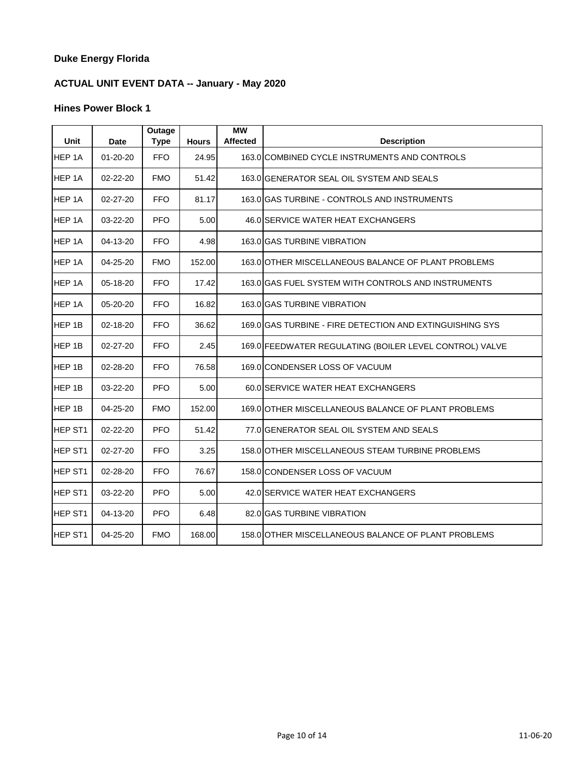# **ACTUAL UNIT EVENT DATA -- January - May 2020**

| Unit                | Date           | Outage<br><b>Type</b> | <b>Hours</b> | <b>MW</b><br><b>Affected</b> | <b>Description</b>                                       |
|---------------------|----------------|-----------------------|--------------|------------------------------|----------------------------------------------------------|
| HEP 1A              | 01-20-20       | <b>FFO</b>            | 24.95        |                              | 163.0 COMBINED CYCLE INSTRUMENTS AND CONTROLS            |
| HEP 1A              | $02 - 22 - 20$ | <b>FMO</b>            | 51.42        |                              | 163.0 GENERATOR SEAL OIL SYSTEM AND SEALS                |
| HEP 1A              | 02-27-20       | <b>FFO</b>            | 81.17        |                              | 163.0 GAS TURBINE - CONTROLS AND INSTRUMENTS             |
| HEP 1A              | 03-22-20       | <b>PFO</b>            | 5.00         |                              | 46.0 SERVICE WATER HEAT EXCHANGERS                       |
| HEP 1A              | 04-13-20       | <b>FFO</b>            | 4.98         |                              | 163.0 GAS TURBINE VIBRATION                              |
| HEP <sub>1A</sub>   | 04-25-20       | <b>FMO</b>            | 152.00       |                              | 163.0 IOTHER MISCELLANEOUS BALANCE OF PLANT PROBLEMS     |
| HEP <sub>1A</sub>   | 05-18-20       | <b>FFO</b>            | 17.42        |                              | 163.0 IGAS FUEL SYSTEM WITH CONTROLS AND INSTRUMENTS     |
| HEP 1A              | 05-20-20       | <b>FFO</b>            | 16.82        |                              | 163.0 GAS TURBINE VIBRATION                              |
| HEP <sub>1B</sub>   | 02-18-20       | <b>FFO</b>            | 36.62        |                              | 169.0 GAS TURBINE - FIRE DETECTION AND EXTINGUISHING SYS |
| HEP 1B              | 02-27-20       | <b>FFO</b>            | 2.45         |                              | 169.0 FEEDWATER REGULATING (BOILER LEVEL CONTROL) VALVE  |
| HEP 1B              | 02-28-20       | <b>FFO</b>            | 76.58        |                              | 169.0 CONDENSER LOSS OF VACUUM                           |
| HEP <sub>1B</sub>   | 03-22-20       | <b>PFO</b>            | 5.00         |                              | 60.0 SERVICE WATER HEAT EXCHANGERS                       |
| HEP 1B              | 04-25-20       | <b>FMO</b>            | 152.00       |                              | 169.0 OTHER MISCELLANEOUS BALANCE OF PLANT PROBLEMS      |
| HEP ST1             | 02-22-20       | <b>PFO</b>            | 51.42        |                              | 77.0 GENERATOR SEAL OIL SYSTEM AND SEALS                 |
| HEP ST1             | $02 - 27 - 20$ | <b>FFO</b>            | 3.25         |                              | 158.0 OTHER MISCELLANEOUS STEAM TURBINE PROBLEMS         |
| HEP ST <sub>1</sub> | 02-28-20       | <b>FFO</b>            | 76.67        |                              | 158.0 CONDENSER LOSS OF VACUUM                           |
| HEP ST1             | 03-22-20       | <b>PFO</b>            | 5.00         |                              | 42.0 SERVICE WATER HEAT EXCHANGERS                       |
| HEP ST1             | 04-13-20       | <b>PFO</b>            | 6.48         |                              | 82.0 GAS TURBINE VIBRATION                               |
| HEP ST <sub>1</sub> | 04-25-20       | <b>FMO</b>            | 168.00       |                              | 158.0 OTHER MISCELLANEOUS BALANCE OF PLANT PROBLEMS      |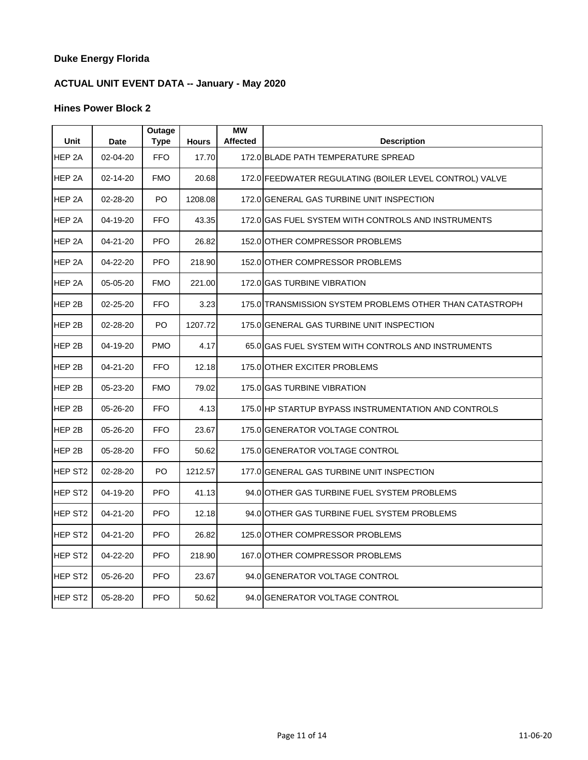# **ACTUAL UNIT EVENT DATA -- January - May 2020**

| <b>Unit</b>         | <b>Date</b> | Outage<br><b>Type</b> | <b>Hours</b> | <b>MW</b><br><b>Affected</b> | <b>Description</b>                                       |
|---------------------|-------------|-----------------------|--------------|------------------------------|----------------------------------------------------------|
| HEP <sub>2A</sub>   | 02-04-20    | <b>FFO</b>            | 17.70        |                              | 172.0 BLADE PATH TEMPERATURE SPREAD                      |
| HEP <sub>2A</sub>   | 02-14-20    | <b>FMO</b>            | 20.68        |                              | 172.0 FEEDWATER REGULATING (BOILER LEVEL CONTROL) VALVE  |
| HEP 2A              | 02-28-20    | PO                    | 1208.08      |                              | 172.0 GENERAL GAS TURBINE UNIT INSPECTION                |
| HEP <sub>2A</sub>   | 04-19-20    | <b>FFO</b>            | 43.35        |                              | 172.0 GAS FUEL SYSTEM WITH CONTROLS AND INSTRUMENTS      |
| HEP <sub>2A</sub>   | 04-21-20    | <b>PFO</b>            | 26.82        |                              | 152.0 OTHER COMPRESSOR PROBLEMS                          |
| HEP <sub>2A</sub>   | 04-22-20    | <b>PFO</b>            | 218.90       |                              | 152.0 OTHER COMPRESSOR PROBLEMS                          |
| HEP <sub>2A</sub>   | 05-05-20    | <b>FMO</b>            | 221.00       |                              | 172.0 GAS TURBINE VIBRATION                              |
| HEP 2B              | 02-25-20    | <b>FFO</b>            | 3.23         |                              | 175.0 TRANSMISSION SYSTEM PROBLEMS OTHER THAN CATASTROPH |
| HEP 2B              | 02-28-20    | PO                    | 1207.72      |                              | 175.0 GENERAL GAS TURBINE UNIT INSPECTION                |
| HEP <sub>2B</sub>   | 04-19-20    | <b>PMO</b>            | 4.17         |                              | 65.0 GAS FUEL SYSTEM WITH CONTROLS AND INSTRUMENTS       |
| HEP 2B              | 04-21-20    | <b>FFO</b>            | 12.18        |                              | 175.0 OTHER EXCITER PROBLEMS                             |
| HEP <sub>2B</sub>   | 05-23-20    | <b>FMO</b>            | 79.02        |                              | 175.0 GAS TURBINE VIBRATION                              |
| HEP 2B              | 05-26-20    | <b>FFO</b>            | 4.13         |                              | 175.0 HP STARTUP BYPASS INSTRUMENTATION AND CONTROLS     |
| HEP 2B              | 05-26-20    | <b>FFO</b>            | 23.67        |                              | 175.0 GENERATOR VOLTAGE CONTROL                          |
| HEP 2B              | 05-28-20    | <b>FFO</b>            | 50.62        |                              | 175.0 GENERATOR VOLTAGE CONTROL                          |
| HEP ST <sub>2</sub> | 02-28-20    | PO                    | 1212.57      |                              | 177.0 GENERAL GAS TURBINE UNIT INSPECTION                |
| HEP ST <sub>2</sub> | 04-19-20    | <b>PFO</b>            | 41.13        |                              | 94.0 OTHER GAS TURBINE FUEL SYSTEM PROBLEMS              |
| HEP ST <sub>2</sub> | 04-21-20    | <b>PFO</b>            | 12.18        |                              | 94.0 OTHER GAS TURBINE FUEL SYSTEM PROBLEMS              |
| HEP ST <sub>2</sub> | 04-21-20    | <b>PFO</b>            | 26.82        |                              | 125.0 OTHER COMPRESSOR PROBLEMS                          |
| HEP ST <sub>2</sub> | 04-22-20    | <b>PFO</b>            | 218.90       |                              | 167.0 OTHER COMPRESSOR PROBLEMS                          |
| HEP ST <sub>2</sub> | 05-26-20    | <b>PFO</b>            | 23.67        |                              | 94.0 GENERATOR VOLTAGE CONTROL                           |
| HEP ST <sub>2</sub> | 05-28-20    | <b>PFO</b>            | 50.62        |                              | 94.0 GENERATOR VOLTAGE CONTROL                           |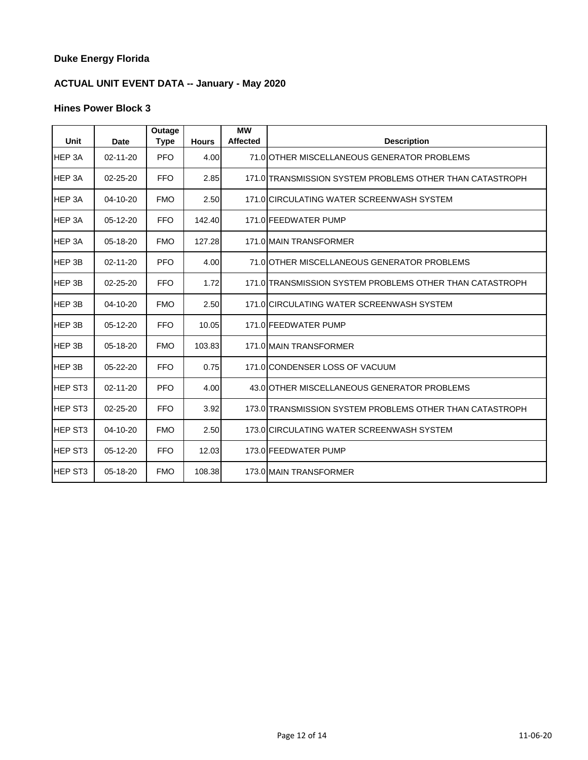# **ACTUAL UNIT EVENT DATA -- January - May 2020**

| Unit                | Date           | Outage<br><b>Type</b> | <b>Hours</b> | <b>MW</b><br><b>Affected</b> | <b>Description</b>                                       |
|---------------------|----------------|-----------------------|--------------|------------------------------|----------------------------------------------------------|
| HEP 3A              | $02 - 11 - 20$ | <b>PFO</b>            | 4.00         |                              | 71.0 OTHER MISCELLANEOUS GENERATOR PROBLEMS              |
| HEP 3A              | $02 - 25 - 20$ | <b>FFO</b>            | 2.85         |                              | 171.0 TRANSMISSION SYSTEM PROBLEMS OTHER THAN CATASTROPH |
| HEP 3A              | $04 - 10 - 20$ | <b>FMO</b>            | 2.50         |                              | 171.0 CIRCULATING WATER SCREENWASH SYSTEM                |
| HEP 3A              | 05-12-20       | <b>FFO</b>            | 142.40       |                              | 171.0 FEEDWATER PUMP                                     |
| HEP 3A              | 05-18-20       | <b>FMO</b>            | 127.28       |                              | 171.0 MAIN TRANSFORMER                                   |
| HEP 3B              | $02 - 11 - 20$ | <b>PFO</b>            | 4.00         |                              | 71.0 OTHER MISCELLANEOUS GENERATOR PROBLEMS              |
| HEP 3B              | $02 - 25 - 20$ | <b>FFO</b>            | 1.72         |                              | 171.0 TRANSMISSION SYSTEM PROBLEMS OTHER THAN CATASTROPH |
| HEP 3B              | 04-10-20       | <b>FMO</b>            | 2.50         |                              | 171.0 CIRCULATING WATER SCREENWASH SYSTEM                |
| HEP 3B              | 05-12-20       | <b>FFO</b>            | 10.05        |                              | 171.0 FEEDWATER PUMP                                     |
| HEP 3B              | $05-18-20$     | <b>FMO</b>            | 103.83       |                              | 171.0 MAIN TRANSFORMER                                   |
| HEP 3B              | $05 - 22 - 20$ | <b>FFO</b>            | 0.75         |                              | 171.0 CONDENSER LOSS OF VACUUM                           |
| <b>HEP ST3</b>      | $02 - 11 - 20$ | <b>PFO</b>            | 4.00         |                              | 43.0 OTHER MISCELLANEOUS GENERATOR PROBLEMS              |
| <b>HEP ST3</b>      | $02 - 25 - 20$ | <b>FFO</b>            | 3.92         |                              | 173.0 TRANSMISSION SYSTEM PROBLEMS OTHER THAN CATASTROPH |
| HEP ST <sub>3</sub> | $04 - 10 - 20$ | <b>FMO</b>            | 2.50         |                              | 173.0 CIRCULATING WATER SCREENWASH SYSTEM                |
| HEP ST <sub>3</sub> | 05-12-20       | <b>FFO</b>            | 12.03        |                              | 173.0 FEEDWATER PUMP                                     |
| <b>HEP ST3</b>      | 05-18-20       | <b>FMO</b>            | 108.38       |                              | 173.0 MAIN TRANSFORMER                                   |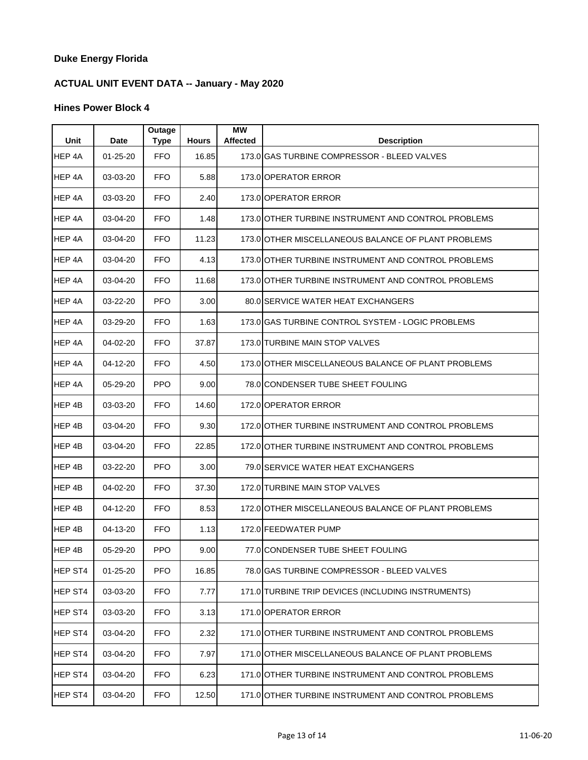# **ACTUAL UNIT EVENT DATA -- January - May 2020**

| Unit    | Date           | Outage<br><b>Type</b> | <b>Hours</b> | <b>MW</b><br><b>Affected</b> | <b>Description</b>                                  |
|---------|----------------|-----------------------|--------------|------------------------------|-----------------------------------------------------|
| HEP 4A  | $01 - 25 - 20$ | <b>FFO</b>            | 16.85        |                              | 173.0 GAS TURBINE COMPRESSOR - BLEED VALVES         |
| HEP 4A  | 03-03-20       | <b>FFO</b>            | 5.88         |                              | 173.0 OPERATOR ERROR                                |
| HEP 4A  | 03-03-20       | <b>FFO</b>            | 2.40         |                              | 173.0 OPERATOR ERROR                                |
| HEP 4A  | 03-04-20       | <b>FFO</b>            | 1.48         |                              | 173.0 OTHER TURBINE INSTRUMENT AND CONTROL PROBLEMS |
| HEP 4A  | 03-04-20       | <b>FFO</b>            | 11.23        |                              | 173.0 OTHER MISCELLANEOUS BALANCE OF PLANT PROBLEMS |
| HEP 4A  | 03-04-20       | <b>FFO</b>            | 4.13         |                              | 173.0 OTHER TURBINE INSTRUMENT AND CONTROL PROBLEMS |
| HEP 4A  | 03-04-20       | <b>FFO</b>            | 11.68        |                              | 173.0 OTHER TURBINE INSTRUMENT AND CONTROL PROBLEMS |
| HEP 4A  | 03-22-20       | PFO.                  | 3.00         |                              | 80.0 SERVICE WATER HEAT EXCHANGERS                  |
| HEP 4A  | 03-29-20       | <b>FFO</b>            | 1.63         |                              | 173.0 GAS TURBINE CONTROL SYSTEM - LOGIC PROBLEMS   |
| HEP 4A  | 04-02-20       | <b>FFO</b>            | 37.87        |                              | 173.0 TURBINE MAIN STOP VALVES                      |
| HEP 4A  | 04-12-20       | <b>FFO</b>            | 4.50         |                              | 173.0 OTHER MISCELLANEOUS BALANCE OF PLANT PROBLEMS |
| HEP 4A  | 05-29-20       | <b>PPO</b>            | 9.00         |                              | 78.0 CONDENSER TUBE SHEET FOULING                   |
| HEP 4B  | 03-03-20       | <b>FFO</b>            | 14.60        |                              | 172.0 OPERATOR ERROR                                |
| HEP 4B  | 03-04-20       | <b>FFO</b>            | 9.30         |                              | 172.0 OTHER TURBINE INSTRUMENT AND CONTROL PROBLEMS |
| HEP 4B  | 03-04-20       | FFO.                  | 22.85        |                              | 172.0 OTHER TURBINE INSTRUMENT AND CONTROL PROBLEMS |
| HEP 4B  | 03-22-20       | <b>PFO</b>            | 3.00         |                              | 79.0 SERVICE WATER HEAT EXCHANGERS                  |
| HEP 4B  | 04-02-20       | <b>FFO</b>            | 37.30        |                              | 172.0 TURBINE MAIN STOP VALVES                      |
| HEP 4B  | 04-12-20       | <b>FFO</b>            | 8.53         |                              | 172.0 OTHER MISCELLANEOUS BALANCE OF PLANT PROBLEMS |
| HEP 4B  | 04-13-20       | <b>FFO</b>            | 1.13         |                              | 172.0 FEEDWATER PUMP                                |
| HEP 4B  | 05-29-20       | PPO.                  | 9.00         |                              | 77.0 CONDENSER TUBE SHEET FOULING                   |
| HEP ST4 | 01-25-20       | <b>PFO</b>            | 16.85        |                              | 78.0 GAS TURBINE COMPRESSOR - BLEED VALVES          |
| HEP ST4 | 03-03-20       | <b>FFO</b>            | 7.77         |                              | 171.0 TURBINE TRIP DEVICES (INCLUDING INSTRUMENTS)  |
| HEP ST4 | 03-03-20       | <b>FFO</b>            | 3.13         |                              | 171.0 OPERATOR ERROR                                |
| HEP ST4 | 03-04-20       | FFO.                  | 2.32         |                              | 171.0 OTHER TURBINE INSTRUMENT AND CONTROL PROBLEMS |
| HEP ST4 | 03-04-20       | <b>FFO</b>            | 7.97         |                              | 171.0 OTHER MISCELLANEOUS BALANCE OF PLANT PROBLEMS |
| HEP ST4 | 03-04-20       | <b>FFO</b>            | 6.23         |                              | 171.0 OTHER TURBINE INSTRUMENT AND CONTROL PROBLEMS |
| HEP ST4 | 03-04-20       | <b>FFO</b>            | 12.50        |                              | 171.0 OTHER TURBINE INSTRUMENT AND CONTROL PROBLEMS |